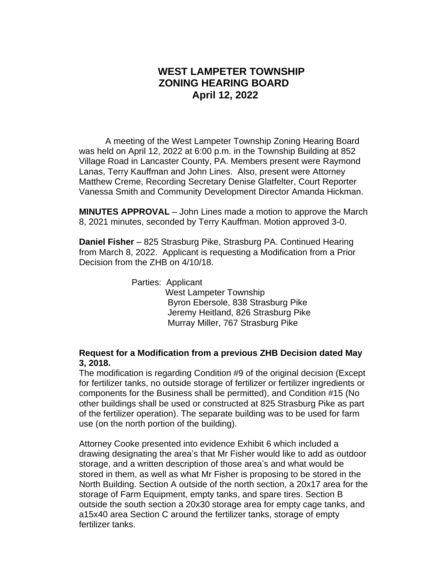## **WEST LAMPETER TOWNSHIP ZONING HEARING BOARD April 12, 2022**

A meeting of the West Lampeter Township Zoning Hearing Board was held on April 12, 2022 at 6:00 p.m. in the Township Building at 852 Village Road in Lancaster County, PA. Members present were Raymond Lanas, Terry Kauffman and John Lines. Also, present were Attorney Matthew Creme, Recording Secretary Denise Glatfelter, Court Reporter Vanessa Smith and Community Development Director Amanda Hickman.

**MINUTES APPROVAL** – John Lines made a motion to approve the March 8, 2021 minutes, seconded by Terry Kauffman. Motion approved 3-0.

**Daniel Fisher** – 825 Strasburg Pike, Strasburg PA. Continued Hearing from March 8, 2022. Applicant is requesting a Modification from a Prior Decision from the ZHB on 4/10/18.

> Parties: Applicant West Lampeter Township Byron Ebersole, 838 Strasburg Pike Jeremy Heitland, 826 Strasburg Pike Murray Miller, 767 Strasburg Pike

## **Request for a Modification from a previous ZHB Decision dated May 3, 2018.**

The modification is regarding Condition #9 of the original decision (Except for fertilizer tanks, no outside storage of fertilizer or fertilizer ingredients or components for the Business shall be permitted), and Condition #15 (No other buildings shall be used or constructed at 825 Strasburg Pike as part of the fertilizer operation). The separate building was to be used for farm use (on the north portion of the building).

Attorney Cooke presented into evidence Exhibit 6 which included a drawing designating the area's that Mr Fisher would like to add as outdoor storage, and a written description of those area's and what would be stored in them, as well as what Mr Fisher is proposing to be stored in the North Building. Section A outside of the north section, a 20x17 area for the storage of Farm Equipment, empty tanks, and spare tires. Section B outside the south section a 20x30 storage area for empty cage tanks, and a15x40 area Section C around the fertilizer tanks, storage of empty fertilizer tanks.